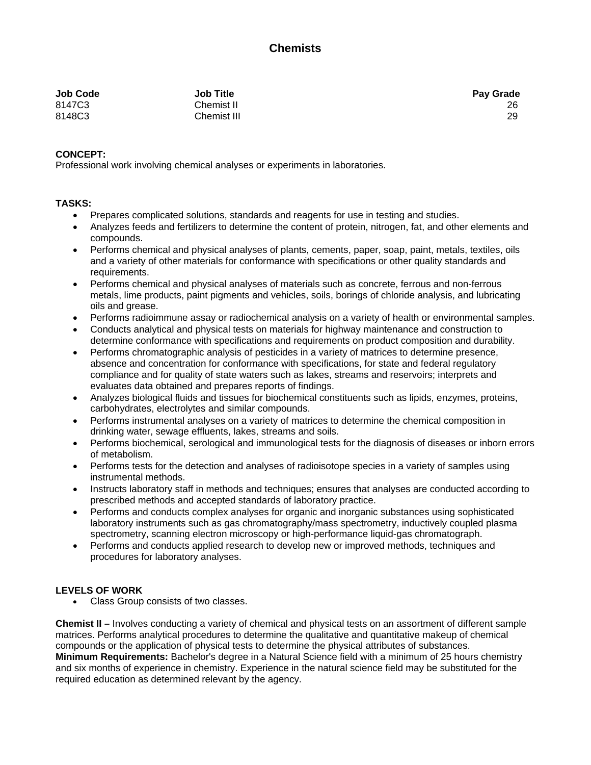| Job Code | <b>Job Title</b> | <b>Pay Grade</b> |
|----------|------------------|------------------|
| 8147C3   | Chemist II       | 26               |
| 8148C3   | Chemist III      | 29               |

## **CONCEPT:**

Professional work involving chemical analyses or experiments in laboratories.

## **TASKS:**

- Prepares complicated solutions, standards and reagents for use in testing and studies.
- Analyzes feeds and fertilizers to determine the content of protein, nitrogen, fat, and other elements and compounds.
- Performs chemical and physical analyses of plants, cements, paper, soap, paint, metals, textiles, oils and a variety of other materials for conformance with specifications or other quality standards and requirements.
- Performs chemical and physical analyses of materials such as concrete, ferrous and non-ferrous metals, lime products, paint pigments and vehicles, soils, borings of chloride analysis, and lubricating oils and grease.
- Performs radioimmune assay or radiochemical analysis on a variety of health or environmental samples.
- Conducts analytical and physical tests on materials for highway maintenance and construction to determine conformance with specifications and requirements on product composition and durability.
- Performs chromatographic analysis of pesticides in a variety of matrices to determine presence, absence and concentration for conformance with specifications, for state and federal regulatory compliance and for quality of state waters such as lakes, streams and reservoirs; interprets and evaluates data obtained and prepares reports of findings.
- Analyzes biological fluids and tissues for biochemical constituents such as lipids, enzymes, proteins, carbohydrates, electrolytes and similar compounds.
- Performs instrumental analyses on a variety of matrices to determine the chemical composition in drinking water, sewage effluents, lakes, streams and soils.
- Performs biochemical, serological and immunological tests for the diagnosis of diseases or inborn errors of metabolism.
- Performs tests for the detection and analyses of radioisotope species in a variety of samples using instrumental methods.
- Instructs laboratory staff in methods and techniques; ensures that analyses are conducted according to prescribed methods and accepted standards of laboratory practice.
- Performs and conducts complex analyses for organic and inorganic substances using sophisticated laboratory instruments such as gas chromatography/mass spectrometry, inductively coupled plasma spectrometry, scanning electron microscopy or high-performance liquid-gas chromatograph.
- Performs and conducts applied research to develop new or improved methods, techniques and procedures for laboratory analyses.

## **LEVELS OF WORK**

• Class Group consists of two classes.

**Chemist II –** Involves conducting a variety of chemical and physical tests on an assortment of different sample matrices. Performs analytical procedures to determine the qualitative and quantitative makeup of chemical compounds or the application of physical tests to determine the physical attributes of substances. **Minimum Requirements:** Bachelor's degree in a Natural Science field with a minimum of 25 hours chemistry and six months of experience in chemistry. Experience in the natural science field may be substituted for the required education as determined relevant by the agency.